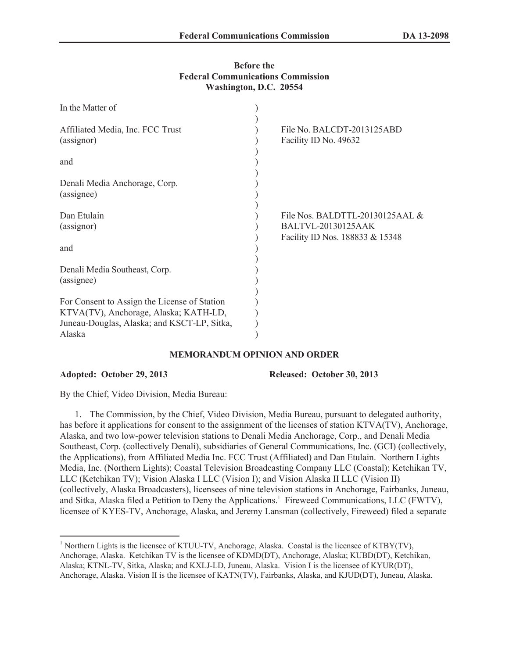# **Before the Federal Communications Commission Washington, D.C. 20554**

| In the Matter of                               |                                                                                                    |
|------------------------------------------------|----------------------------------------------------------------------------------------------------|
| Affiliated Media, Inc. FCC Trust<br>(assignor) | File No. BALCDT-2013125ABD<br>Facility ID No. 49632                                                |
| and                                            |                                                                                                    |
| Denali Media Anchorage, Corp.<br>(assignee)    |                                                                                                    |
| Dan Etulain<br>(assignor)                      | File Nos. BALDTTL-20130125AAL $\&$<br><b>BALTVL-20130125AAK</b><br>Facility ID Nos. 188833 & 15348 |
| and                                            |                                                                                                    |
| Denali Media Southeast, Corp.<br>(assignee)    |                                                                                                    |
| For Consent to Assign the License of Station   |                                                                                                    |
| KTVA(TV), Anchorage, Alaska; KATH-LD,          |                                                                                                    |
| Juneau-Douglas, Alaska; and KSCT-LP, Sitka,    |                                                                                                    |
| Alaska                                         |                                                                                                    |

### **MEMORANDUM OPINION AND ORDER**

**Adopted: October 29, 2013 Released: October 30, 2013**

By the Chief, Video Division, Media Bureau:

1. The Commission, by the Chief, Video Division, Media Bureau, pursuant to delegated authority, has before it applications for consent to the assignment of the licenses of station KTVA(TV), Anchorage, Alaska, and two low-power television stations to Denali Media Anchorage, Corp., and Denali Media Southeast, Corp. (collectively Denali), subsidiaries of General Communications, Inc. (GCI) (collectively, the Applications), from Affiliated Media Inc. FCC Trust (Affiliated) and Dan Etulain. Northern Lights Media, Inc. (Northern Lights); Coastal Television Broadcasting Company LLC (Coastal); Ketchikan TV, LLC (Ketchikan TV); Vision Alaska I LLC (Vision I); and Vision Alaska II LLC (Vision II) (collectively, Alaska Broadcasters), licensees of nine television stations in Anchorage, Fairbanks, Juneau, and Sitka, Alaska filed a Petition to Deny the Applications.<sup>1</sup> Fireweed Communications, LLC (FWTV), licensee of KYES-TV, Anchorage, Alaska, and Jeremy Lansman (collectively, Fireweed) filed a separate

<sup>&</sup>lt;sup>1</sup> Northern Lights is the licensee of KTUU-TV, Anchorage, Alaska. Coastal is the licensee of KTBY(TV), Anchorage, Alaska. Ketchikan TV is the licensee of KDMD(DT), Anchorage, Alaska; KUBD(DT), Ketchikan, Alaska; KTNL-TV, Sitka, Alaska; and KXLJ-LD, Juneau, Alaska. Vision I is the licensee of KYUR(DT), Anchorage, Alaska. Vision II is the licensee of KATN(TV), Fairbanks, Alaska, and KJUD(DT), Juneau, Alaska.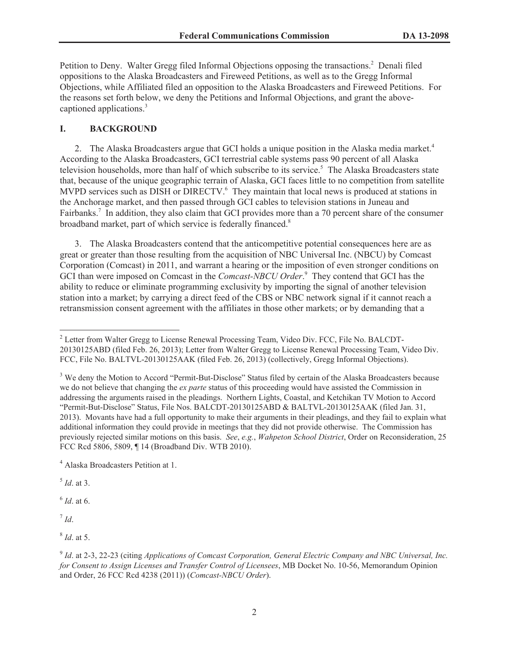Petition to Deny. Walter Gregg filed Informal Objections opposing the transactions.<sup>2</sup> Denali filed oppositions to the Alaska Broadcasters and Fireweed Petitions, as well as to the Gregg Informal Objections, while Affiliated filed an opposition to the Alaska Broadcasters and Fireweed Petitions. For the reasons set forth below, we deny the Petitions and Informal Objections, and grant the abovecaptioned applications.<sup>3</sup>

# **I. BACKGROUND**

2. The Alaska Broadcasters argue that GCI holds a unique position in the Alaska media market.<sup>4</sup> According to the Alaska Broadcasters, GCI terrestrial cable systems pass 90 percent of all Alaska television households, more than half of which subscribe to its service.<sup>5</sup> The Alaska Broadcasters state that, because of the unique geographic terrain of Alaska, GCI faces little to no competition from satellite MVPD services such as DISH or DIRECTV.<sup>6</sup> They maintain that local news is produced at stations in the Anchorage market, and then passed through GCI cables to television stations in Juneau and Fairbanks.<sup>7</sup> In addition, they also claim that GCI provides more than a 70 percent share of the consumer broadband market, part of which service is federally financed.<sup>8</sup>

3. The Alaska Broadcasters contend that the anticompetitive potential consequences here are as great or greater than those resulting from the acquisition of NBC Universal Inc. (NBCU) by Comcast Corporation (Comcast) in 2011, and warrant a hearing or the imposition of even stronger conditions on GCI than were imposed on Comcast in the *Comcast-NBCU Order*. <sup>9</sup> They contend that GCI has the ability to reduce or eliminate programming exclusivity by importing the signal of another television station into a market; by carrying a direct feed of the CBS or NBC network signal if it cannot reach a retransmission consent agreement with the affiliates in those other markets; or by demanding that a

5 *Id*. at 3.

6 *Id*. at 6.

7 *Id*.

8 *Id*. at 5.

<sup>&</sup>lt;sup>2</sup> Letter from Walter Gregg to License Renewal Processing Team, Video Div. FCC, File No. BALCDT-20130125ABD (filed Feb. 26, 2013); Letter from Walter Gregg to License Renewal Processing Team, Video Div. FCC, File No. BALTVL-20130125AAK (filed Feb. 26, 2013) (collectively, Gregg Informal Objections).

<sup>&</sup>lt;sup>3</sup> We deny the Motion to Accord "Permit-But-Disclose" Status filed by certain of the Alaska Broadcasters because we do not believe that changing the *ex parte* status of this proceeding would have assisted the Commission in addressing the arguments raised in the pleadings. Northern Lights, Coastal, and Ketchikan TV Motion to Accord "Permit-But-Disclose" Status, File Nos. BALCDT-20130125ABD & BALTVL-20130125AAK (filed Jan. 31, 2013). Movants have had a full opportunity to make their arguments in their pleadings, and they fail to explain what additional information they could provide in meetings that they did not provide otherwise. The Commission has previously rejected similar motions on this basis. *See*, *e.g.*, *Wahpeton School District*, Order on Reconsideration, 25 FCC Rcd 5806, 5809, ¶ 14 (Broadband Div. WTB 2010).

<sup>4</sup> Alaska Broadcasters Petition at 1.

<sup>9</sup> *Id*. at 2-3, 22-23 (citing *Applications of Comcast Corporation, General Electric Company and NBC Universal, Inc. for Consent to Assign Licenses and Transfer Control of Licensees*, MB Docket No. 10-56, Memorandum Opinion and Order, 26 FCC Rcd 4238 (2011)) (*Comcast-NBCU Order*).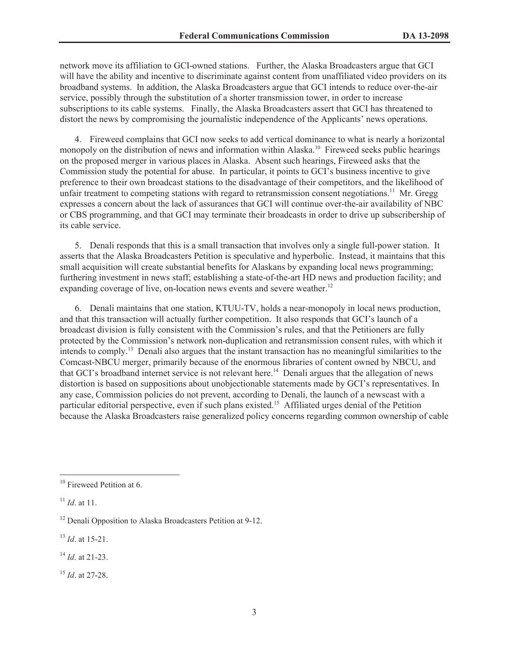network move its affiliation to GCI-owned stations. Further, the Alaska Broadcasters argue that GCI will have the ability and incentive to discriminate against content from unaffiliated video providers on its broadband systems. In addition, the Alaska Broadcasters argue that GCI intends to reduce over-the-air service, possibly through the substitution of a shorter transmission tower, in order to increase subscriptions to its cable systems. Finally, the Alaska Broadcasters assert that GCI has threatened to distort the news by compromising the journalistic independence of the Applicants' news operations.

4. Fireweed complains that GCI now seeks to add vertical dominance to what is nearly a horizontal monopoly on the distribution of news and information within Alaska.<sup>10</sup> Fireweed seeks public hearings on the proposed merger in various places in Alaska. Absent such hearings, Fireweed asks that the Commission study the potential for abuse. In particular, it points to GCI's business incentive to give preference to their own broadcast stations to the disadvantage of their competitors, and the likelihood of unfair treatment to competing stations with regard to retransmission consent negotiations.<sup>11</sup> Mr. Gregg expresses a concern about the lack of assurances that GCI will continue over-the-air availability of NBC or CBS programming, and that GCI may terminate their broadcasts in order to drive up subscribership of its cable service.

5. Denali responds that this is a small transaction that involves only a single full-power station. It asserts that the Alaska Broadcasters Petition is speculative and hyperbolic. Instead, it maintains that this small acquisition will create substantial benefits for Alaskans by expanding local news programming; furthering investment in news staff; establishing a state-of-the-art HD news and production facility; and expanding coverage of live, on-location news events and severe weather.<sup>12</sup>

6. Denali maintains that one station, KTUU-TV, holds a near-monopoly in local news production, and that this transaction will actually further competition. It also responds that GCI's launch of a broadcast division is fully consistent with the Commission's rules, and that the Petitioners are fully protected by the Commission's network non-duplication and retransmission consent rules, with which it intends to comply.<sup>13</sup> Denali also argues that the instant transaction has no meaningful similarities to the Comcast-NBCU merger, primarily because of the enormous libraries of content owned by NBCU, and that GCI's broadband internet service is not relevant here.<sup>14</sup> Denali argues that the allegation of news distortion is based on suppositions about unobjectionable statements made by GCI's representatives. In any case, Commission policies do not prevent, according to Denali, the launch of a newscast with a particular editorial perspective, even if such plans existed.<sup>15</sup> Affiliated urges denial of the Petition because the Alaska Broadcasters raise generalized policy concerns regarding common ownership of cable

<sup>13</sup> *Id*. at 15-21.

<sup>14</sup> *Id*. at 21-23.

<sup>15</sup> *Id*. at 27-28.

<sup>&</sup>lt;sup>10</sup> Fireweed Petition at 6.

 $11$  *Id.* at 11.

<sup>&</sup>lt;sup>12</sup> Denali Opposition to Alaska Broadcasters Petition at 9-12.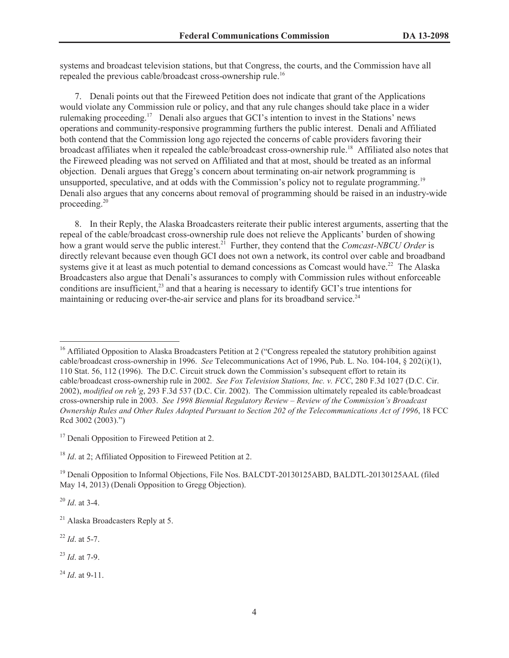systems and broadcast television stations, but that Congress, the courts, and the Commission have all repealed the previous cable/broadcast cross-ownership rule.<sup>16</sup>

7. Denali points out that the Fireweed Petition does not indicate that grant of the Applications would violate any Commission rule or policy, and that any rule changes should take place in a wider rulemaking proceeding.<sup>17</sup> Denali also argues that GCI's intention to invest in the Stations' news operations and community-responsive programming furthers the public interest. Denali and Affiliated both contend that the Commission long ago rejected the concerns of cable providers favoring their broadcast affiliates when it repealed the cable/broadcast cross-ownership rule.<sup>18</sup> Affiliated also notes that the Fireweed pleading was not served on Affiliated and that at most, should be treated as an informal objection. Denali argues that Gregg's concern about terminating on-air network programming is unsupported, speculative, and at odds with the Commission's policy not to regulate programming.<sup>19</sup> Denali also argues that any concerns about removal of programming should be raised in an industry-wide proceeding.<sup>20</sup>

8. In their Reply, the Alaska Broadcasters reiterate their public interest arguments, asserting that the repeal of the cable/broadcast cross-ownership rule does not relieve the Applicants' burden of showing how a grant would serve the public interest.<sup>21</sup> Further, they contend that the *Comcast-NBCU Order* is directly relevant because even though GCI does not own a network, its control over cable and broadband systems give it at least as much potential to demand concessions as Comcast would have.<sup>22</sup> The Alaska Broadcasters also argue that Denali's assurances to comply with Commission rules without enforceable conditions are insufficient, $^{23}$  and that a hearing is necessary to identify GCI's true intentions for maintaining or reducing over-the-air service and plans for its broadband service.<sup>24</sup>

<sup>20</sup> *Id*. at 3-4.

<sup>22</sup> *Id*. at 5-7.

<sup>23</sup> *Id*. at 7-9.

<sup>24</sup> *Id*. at 9-11.

<sup>&</sup>lt;sup>16</sup> Affiliated Opposition to Alaska Broadcasters Petition at 2 ("Congress repealed the statutory prohibition against cable/broadcast cross-ownership in 1996. *See* Telecommunications Act of 1996, Pub. L. No. 104-104, § 202(i)(1), 110 Stat. 56, 112 (1996). The D.C. Circuit struck down the Commission's subsequent effort to retain its cable/broadcast cross-ownership rule in 2002. *See Fox Television Stations, Inc. v. FCC*, 280 F.3d 1027 (D.C. Cir. 2002), *modified on reh'g*, 293 F.3d 537 (D.C. Cir. 2002). The Commission ultimately repealed its cable/broadcast cross-ownership rule in 2003. *See 1998 Biennial Regulatory Review – Review of the Commission's Broadcast Ownership Rules and Other Rules Adopted Pursuant to Section 202 of the Telecommunications Act of 1996*, 18 FCC Rcd 3002 (2003).")

<sup>&</sup>lt;sup>17</sup> Denali Opposition to Fireweed Petition at 2.

<sup>18</sup> *Id*. at 2; Affiliated Opposition to Fireweed Petition at 2.

<sup>&</sup>lt;sup>19</sup> Denali Opposition to Informal Objections, File Nos. BALCDT-20130125ABD, BALDTL-20130125AAL (filed May 14, 2013) (Denali Opposition to Gregg Objection).

<sup>&</sup>lt;sup>21</sup> Alaska Broadcasters Reply at 5.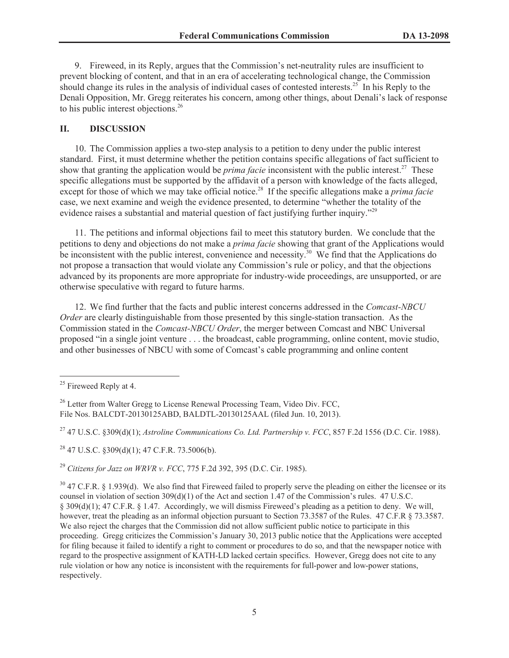9. Fireweed, in its Reply, argues that the Commission's net-neutrality rules are insufficient to prevent blocking of content, and that in an era of accelerating technological change, the Commission should change its rules in the analysis of individual cases of contested interests.<sup>25</sup> In his Reply to the Denali Opposition, Mr. Gregg reiterates his concern, among other things, about Denali's lack of response to his public interest objections.<sup>26</sup>

# **II. DISCUSSION**

10. The Commission applies a two-step analysis to a petition to deny under the public interest standard. First, it must determine whether the petition contains specific allegations of fact sufficient to show that granting the application would be *prima facie* inconsistent with the public interest.<sup>27</sup> These specific allegations must be supported by the affidavit of a person with knowledge of the facts alleged, except for those of which we may take official notice.<sup>28</sup> If the specific allegations make a *prima facie* case, we next examine and weigh the evidence presented, to determine "whether the totality of the evidence raises a substantial and material question of fact justifying further inquiry."<sup>29</sup>

11. The petitions and informal objections fail to meet this statutory burden. We conclude that the petitions to deny and objections do not make a *prima facie* showing that grant of the Applications would be inconsistent with the public interest, convenience and necessity.<sup>30</sup> We find that the Applications do not propose a transaction that would violate any Commission's rule or policy, and that the objections advanced by its proponents are more appropriate for industry-wide proceedings, are unsupported, or are otherwise speculative with regard to future harms.

12. We find further that the facts and public interest concerns addressed in the *Comcast-NBCU Order* are clearly distinguishable from those presented by this single-station transaction. As the Commission stated in the *Comcast-NBCU Order*, the merger between Comcast and NBC Universal proposed "in a single joint venture . . . the broadcast, cable programming, online content, movie studio, and other businesses of NBCU with some of Comcast's cable programming and online content

<sup>27</sup> 47 U.S.C. §309(d)(1); *Astroline Communications Co. Ltd. Partnership v. FCC*, 857 F.2d 1556 (D.C. Cir. 1988).

 $^{28}$  47 U.S.C. §309(d)(1); 47 C.F.R. 73.5006(b).

<sup>29</sup> *Citizens for Jazz on WRVR v. FCC*, 775 F.2d 392, 395 (D.C. Cir. 1985).

 $25$  Fireweed Reply at 4.

<sup>&</sup>lt;sup>26</sup> Letter from Walter Gregg to License Renewal Processing Team, Video Div. FCC, File Nos. BALCDT-20130125ABD, BALDTL-20130125AAL (filed Jun. 10, 2013).

 $30\,$  47 C.F.R. § 1.939(d). We also find that Fireweed failed to properly serve the pleading on either the licensee or its counsel in violation of section  $309(d)(1)$  of the Act and section 1.47 of the Commission's rules. 47 U.S.C. § 309(d)(1); 47 C.F.R. § 1.47. Accordingly, we will dismiss Fireweed's pleading as a petition to deny. We will, however, treat the pleading as an informal objection pursuant to Section 73.3587 of the Rules. 47 C.F.R § 73.3587. We also reject the charges that the Commission did not allow sufficient public notice to participate in this proceeding. Gregg criticizes the Commission's January 30, 2013 public notice that the Applications were accepted for filing because it failed to identify a right to comment or procedures to do so, and that the newspaper notice with regard to the prospective assignment of KATH-LD lacked certain specifics. However, Gregg does not cite to any rule violation or how any notice is inconsistent with the requirements for full-power and low-power stations, respectively.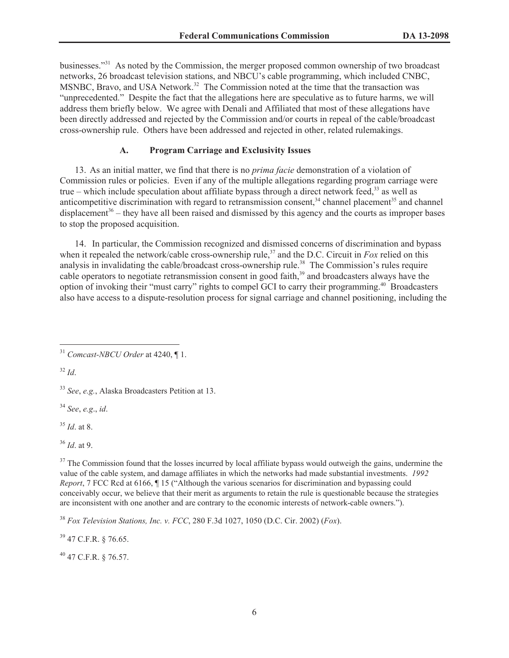businesses."<sup>31</sup> As noted by the Commission, the merger proposed common ownership of two broadcast networks, 26 broadcast television stations, and NBCU's cable programming, which included CNBC, MSNBC, Bravo, and USA Network.<sup>32</sup> The Commission noted at the time that the transaction was "unprecedented." Despite the fact that the allegations here are speculative as to future harms, we will address them briefly below. We agree with Denali and Affiliated that most of these allegations have been directly addressed and rejected by the Commission and/or courts in repeal of the cable/broadcast cross-ownership rule. Others have been addressed and rejected in other, related rulemakings.

# **A. Program Carriage and Exclusivity Issues**

13. As an initial matter, we find that there is no *prima facie* demonstration of a violation of Commission rules or policies. Even if any of the multiple allegations regarding program carriage were true – which include speculation about affiliate bypass through a direct network feed, $33$  as well as anticompetitive discrimination with regard to retransmission consent,<sup>34</sup> channel placement<sup>35</sup> and channel displacement<sup>36</sup> – they have all been raised and dismissed by this agency and the courts as improper bases to stop the proposed acquisition.

14. In particular, the Commission recognized and dismissed concerns of discrimination and bypass when it repealed the network/cable cross-ownership rule,<sup>37</sup> and the D.C. Circuit in *Fox* relied on this analysis in invalidating the cable/broadcast cross-ownership rule.<sup>38</sup> The Commission's rules require cable operators to negotiate retransmission consent in good faith,<sup>39</sup> and broadcasters always have the option of invoking their "must carry" rights to compel GCI to carry their programming.<sup>40</sup> Broadcasters also have access to a dispute-resolution process for signal carriage and channel positioning, including the

<sup>32</sup> *Id*.

<sup>34</sup> *See*, *e.g*., *id*.

<sup>35</sup> *Id*. at 8.

<sup>37</sup> The Commission found that the losses incurred by local affiliate bypass would outweigh the gains, undermine the value of the cable system, and damage affiliates in which the networks had made substantial investments. *1992 Report*, 7 FCC Rcd at 6166,  $\parallel$  15 ("Although the various scenarios for discrimination and bypassing could conceivably occur, we believe that their merit as arguments to retain the rule is questionable because the strategies are inconsistent with one another and are contrary to the economic interests of network-cable owners.").

<sup>38</sup> *Fox Television Stations, Inc. v. FCC*, 280 F.3d 1027, 1050 (D.C. Cir. 2002) (*Fox*).

<sup>39</sup> 47 C.F.R. § 76.65.

 $^{40}$  47 C.F.R. § 76.57.

<sup>31</sup> *Comcast-NBCU Order* at 4240, ¶ 1.

<sup>33</sup> *See*, *e.g.*, Alaska Broadcasters Petition at 13.

<sup>36</sup> *Id*. at 9.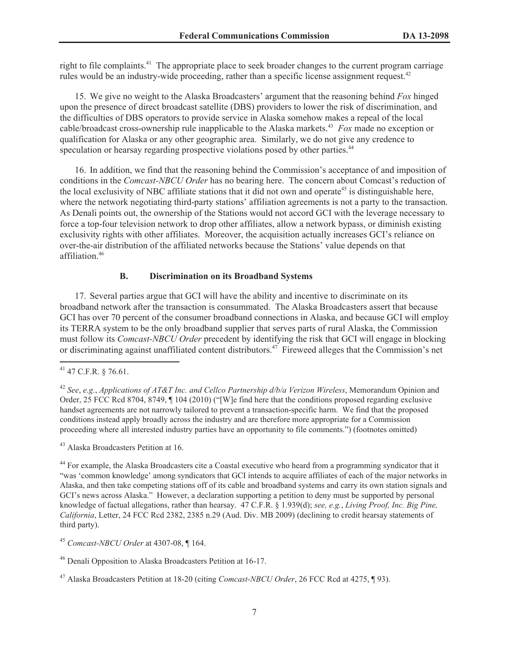right to file complaints.<sup>41</sup> The appropriate place to seek broader changes to the current program carriage rules would be an industry-wide proceeding, rather than a specific license assignment request.<sup>42</sup>

15. We give no weight to the Alaska Broadcasters' argument that the reasoning behind *Fox* hinged upon the presence of direct broadcast satellite (DBS) providers to lower the risk of discrimination, and the difficulties of DBS operators to provide service in Alaska somehow makes a repeal of the local cable/broadcast cross-ownership rule inapplicable to the Alaska markets.<sup>43</sup> *Fox* made no exception or qualification for Alaska or any other geographic area. Similarly, we do not give any credence to speculation or hearsay regarding prospective violations posed by other parties.<sup>44</sup>

16. In addition, we find that the reasoning behind the Commission's acceptance of and imposition of conditions in the *Comcast-NBCU Order* has no bearing here. The concern about Comcast's reduction of the local exclusivity of NBC affiliate stations that it did not own and operate<sup>45</sup> is distinguishable here, where the network negotiating third-party stations' affiliation agreements is not a party to the transaction. As Denali points out, the ownership of the Stations would not accord GCI with the leverage necessary to force a top-four television network to drop other affiliates, allow a network bypass, or diminish existing exclusivity rights with other affiliates. Moreover, the acquisition actually increases GCI's reliance on over-the-air distribution of the affiliated networks because the Stations' value depends on that affiliation.<sup>46</sup>

### **B. Discrimination on its Broadband Systems**

17. Several parties argue that GCI will have the ability and incentive to discriminate on its broadband network after the transaction is consummated. The Alaska Broadcasters assert that because GCI has over 70 percent of the consumer broadband connections in Alaska, and because GCI will employ its TERRA system to be the only broadband supplier that serves parts of rural Alaska, the Commission must follow its *Comcast-NBCU Order* precedent by identifying the risk that GCI will engage in blocking or discriminating against unaffiliated content distributors.<sup>47</sup> Fireweed alleges that the Commission's net

 $41$  47 C.F.R. § 76.61.

<sup>42</sup> *See*, *e.g.*, *Applications of AT&T Inc. and Cellco Partnership d/b/a Verizon Wireless*, Memorandum Opinion and Order, 25 FCC Rcd 8704, 8749, ¶ 104 (2010) ("[W]e find here that the conditions proposed regarding exclusive handset agreements are not narrowly tailored to prevent a transaction-specific harm. We find that the proposed conditions instead apply broadly across the industry and are therefore more appropriate for a Commission proceeding where all interested industry parties have an opportunity to file comments.") (footnotes omitted)

<sup>43</sup> Alaska Broadcasters Petition at 16.

<sup>&</sup>lt;sup>44</sup> For example, the Alaska Broadcasters cite a Coastal executive who heard from a programming syndicator that it "was 'common knowledge' among syndicators that GCI intends to acquire affiliates of each of the major networks in Alaska, and then take competing stations off of its cable and broadband systems and carry its own station signals and GCI's news across Alaska." However, a declaration supporting a petition to deny must be supported by personal knowledge of factual allegations, rather than hearsay. 47 C.F.R. § 1.939(d); *see, e.g.*, *Living Proof, Inc. Big Pine, California*, Letter, 24 FCC Rcd 2382, 2385 n.29 (Aud. Div. MB 2009) (declining to credit hearsay statements of third party).

<sup>45</sup> *Comcast-NBCU Order* at 4307-08, ¶ 164.

<sup>46</sup> Denali Opposition to Alaska Broadcasters Petition at 16-17.

<sup>47</sup> Alaska Broadcasters Petition at 18-20 (citing *Comcast-NBCU Order*, 26 FCC Rcd at 4275, ¶ 93).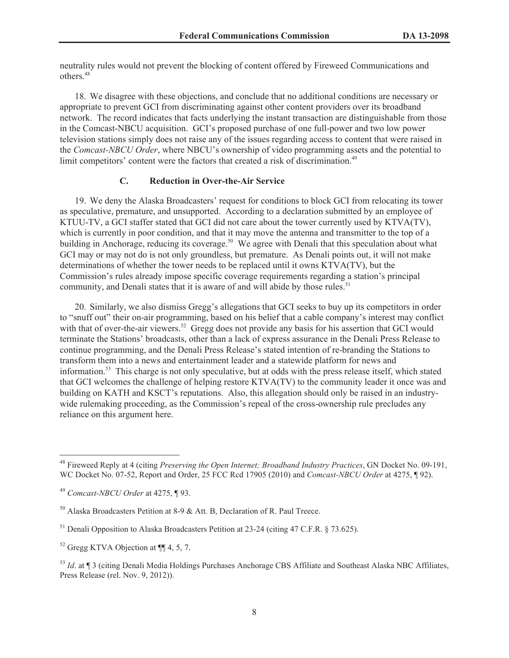neutrality rules would not prevent the blocking of content offered by Fireweed Communications and others.<sup>48</sup>

18. We disagree with these objections, and conclude that no additional conditions are necessary or appropriate to prevent GCI from discriminating against other content providers over its broadband network. The record indicates that facts underlying the instant transaction are distinguishable from those in the Comcast-NBCU acquisition. GCI's proposed purchase of one full-power and two low power television stations simply does not raise any of the issues regarding access to content that were raised in the *Comcast-NBCU Order*, where NBCU's ownership of video programming assets and the potential to limit competitors' content were the factors that created a risk of discrimination.<sup>49</sup>

# **C. Reduction in Over-the-Air Service**

19. We deny the Alaska Broadcasters' request for conditions to block GCI from relocating its tower as speculative, premature, and unsupported. According to a declaration submitted by an employee of KTUU-TV, a GCI staffer stated that GCI did not care about the tower currently used by KTVA(TV), which is currently in poor condition, and that it may move the antenna and transmitter to the top of a building in Anchorage, reducing its coverage.<sup>50</sup> We agree with Denali that this speculation about what GCI may or may not do is not only groundless, but premature. As Denali points out, it will not make determinations of whether the tower needs to be replaced until it owns KTVA(TV), but the Commission's rules already impose specific coverage requirements regarding a station's principal community, and Denali states that it is aware of and will abide by those rules.<sup>51</sup>

20. Similarly, we also dismiss Gregg's allegations that GCI seeks to buy up its competitors in order to "snuff out" their on-air programming, based on his belief that a cable company's interest may conflict with that of over-the-air viewers.<sup>52</sup> Gregg does not provide any basis for his assertion that GCI would terminate the Stations' broadcasts, other than a lack of express assurance in the Denali Press Release to continue programming, and the Denali Press Release's stated intention of re-branding the Stations to transform them into a news and entertainment leader and a statewide platform for news and information.<sup>53</sup> This charge is not only speculative, but at odds with the press release itself, which stated that GCI welcomes the challenge of helping restore KTVA(TV) to the community leader it once was and building on KATH and KSCT's reputations. Also, this allegation should only be raised in an industrywide rulemaking proceeding, as the Commission's repeal of the cross-ownership rule precludes any reliance on this argument here.

<sup>48</sup> Fireweed Reply at 4 (citing *Preserving the Open Internet; Broadband Industry Practices*, GN Docket No. 09-191, WC Docket No. 07-52, Report and Order, 25 FCC Rcd 17905 (2010) and *Comcast-NBCU Order* at 4275, ¶ 92).

<sup>49</sup> *Comcast-NBCU Order* at 4275, ¶ 93.

 $50$  Alaska Broadcasters Petition at 8-9 & Att. B, Declaration of R. Paul Treece.

<sup>&</sup>lt;sup>51</sup> Denali Opposition to Alaska Broadcasters Petition at 23-24 (citing 47 C.F.R. § 73.625).

 $52$  Gregg KTVA Objection at  $\P\P$  4, 5, 7.

<sup>53</sup> *Id*. at ¶ 3 (citing Denali Media Holdings Purchases Anchorage CBS Affiliate and Southeast Alaska NBC Affiliates, Press Release (rel. Nov. 9, 2012)).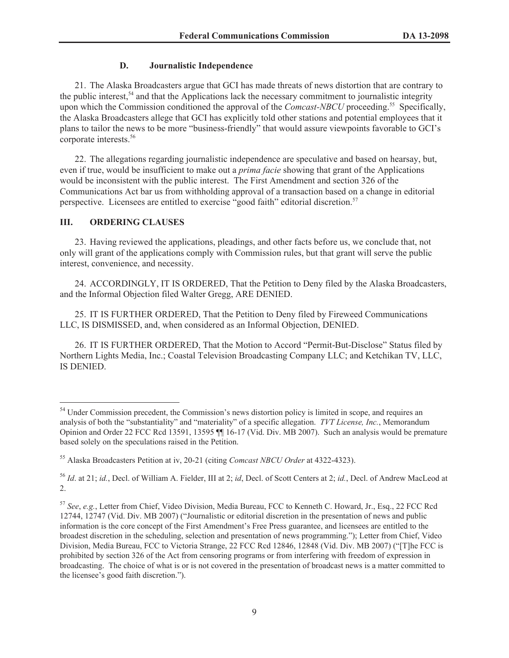# **D. Journalistic Independence**

21. The Alaska Broadcasters argue that GCI has made threats of news distortion that are contrary to the public interest, $54$  and that the Applications lack the necessary commitment to journalistic integrity upon which the Commission conditioned the approval of the *Comcast-NBCU* proceeding.<sup>55</sup> Specifically, the Alaska Broadcasters allege that GCI has explicitly told other stations and potential employees that it plans to tailor the news to be more "business-friendly" that would assure viewpoints favorable to GCI's corporate interests.<sup>56</sup>

22. The allegations regarding journalistic independence are speculative and based on hearsay, but, even if true, would be insufficient to make out a *prima facie* showing that grant of the Applications would be inconsistent with the public interest. The First Amendment and section 326 of the Communications Act bar us from withholding approval of a transaction based on a change in editorial perspective. Licensees are entitled to exercise "good faith" editorial discretion.<sup>57</sup>

# **III. ORDERING CLAUSES**

23. Having reviewed the applications, pleadings, and other facts before us, we conclude that, not only will grant of the applications comply with Commission rules, but that grant will serve the public interest, convenience, and necessity.

24. ACCORDINGLY, IT IS ORDERED, That the Petition to Deny filed by the Alaska Broadcasters, and the Informal Objection filed Walter Gregg, ARE DENIED.

25. IT IS FURTHER ORDERED, That the Petition to Deny filed by Fireweed Communications LLC, IS DISMISSED, and, when considered as an Informal Objection, DENIED.

26. IT IS FURTHER ORDERED, That the Motion to Accord "Permit-But-Disclose" Status filed by Northern Lights Media, Inc.; Coastal Television Broadcasting Company LLC; and Ketchikan TV, LLC, IS DENIED.

<sup>&</sup>lt;sup>54</sup> Under Commission precedent, the Commission's news distortion policy is limited in scope, and requires an analysis of both the "substantiality" and "materiality" of a specific allegation. *TVT License, Inc.*, Memorandum Opinion and Order 22 FCC Rcd 13591, 13595 ¶¶ 16-17 (Vid. Div. MB 2007). Such an analysis would be premature based solely on the speculations raised in the Petition.

<sup>55</sup> Alaska Broadcasters Petition at iv, 20-21 (citing *Comcast NBCU Order* at 4322-4323).

<sup>56</sup> *Id*. at 21; *id.*, Decl. of William A. Fielder, III at 2; *id*, Decl. of Scott Centers at 2; *id.*, Decl. of Andrew MacLeod at 2.

<sup>57</sup> *See*, *e.g.*, Letter from Chief, Video Division, Media Bureau, FCC to Kenneth C. Howard, Jr., Esq., 22 FCC Rcd 12744, 12747 (Vid. Div. MB 2007) ("Journalistic or editorial discretion in the presentation of news and public information is the core concept of the First Amendment's Free Press guarantee, and licensees are entitled to the broadest discretion in the scheduling, selection and presentation of news programming."); Letter from Chief, Video Division, Media Bureau, FCC to Victoria Strange, 22 FCC Rcd 12846, 12848 (Vid. Div. MB 2007) ("[T]he FCC is prohibited by section 326 of the Act from censoring programs or from interfering with freedom of expression in broadcasting. The choice of what is or is not covered in the presentation of broadcast news is a matter committed to the licensee's good faith discretion.").